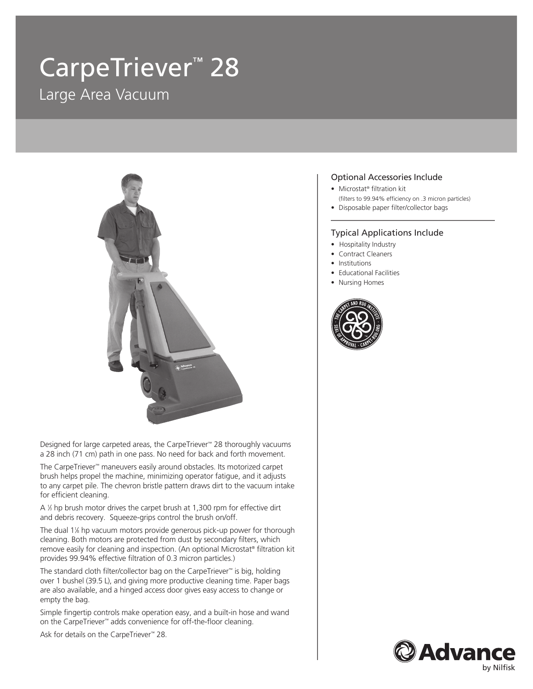# CarpeTriever<sup>™</sup> 28 Large Area Vacuum



Designed for large carpeted areas, the CarpeTriever™ 28 thoroughly vacuums a 28 inch (71 cm) path in one pass. No need for back and forth movement.

The CarpeTriever™ maneuvers easily around obstacles. Its motorized carpet brush helps propel the machine, minimizing operator fatigue, and it adjusts to any carpet pile. The chevron bristle pattern draws dirt to the vacuum intake for efficient cleaning.

A 1/3 hp brush motor drives the carpet brush at 1,300 rpm for effective dirt and debris recovery. Squeeze-grips control the brush on/off.

The dual 1<sup>1%</sup> hp vacuum motors provide generous pick-up power for thorough cleaning. Both motors are protected from dust by secondary filters, which remove easily for cleaning and inspection. (An optional Microstat® filtration kit provides 99.94% effective filtration of 0.3 micron particles.)

The standard cloth filter/collector bag on the CarpeTriever™ is big, holding over 1 bushel (39.5 L), and giving more productive cleaning time. Paper bags are also available, and a hinged access door gives easy access to change or empty the bag.

Simple fingertip controls make operation easy, and a built-in hose and wand on the CarpeTriever™ adds convenience for off-the-floor cleaning.

Ask for details on the CarpeTriever™ 28.

### Optional Accessories Include

- Microstat® filtration kit
	- (filters to 99.94% efficiency on .3 micron particles)
- Disposable paper filter/collector bags

#### Typical Applications Include

- Hospitality Industry
- Contract Cleaners
- Institutions
- Educational Facilities
- Nursing Homes